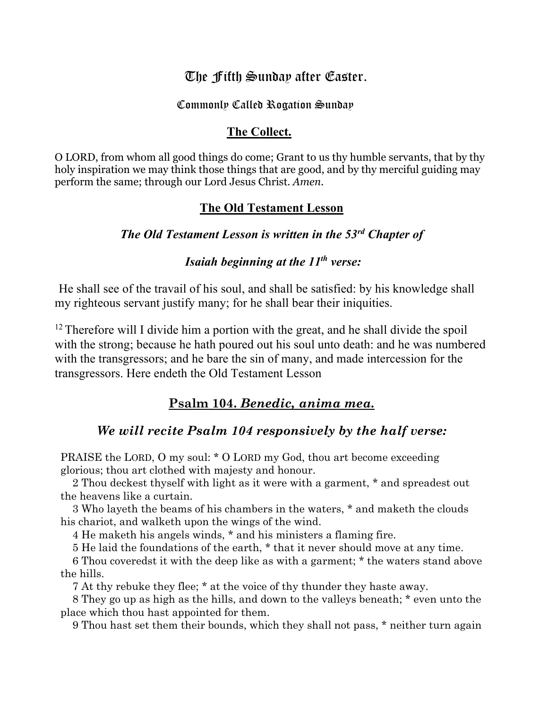# The Fifth Sunday after Easter.

#### Commonly Called Rogation Sunday

#### **The Collect.**

O LORD, from whom all good things do come; Grant to us thy humble servants, that by thy holy inspiration we may think those things that are good, and by thy merciful guiding may perform the same; through our Lord Jesus Christ. *Amen.*

#### **The Old Testament Lesson**

# *The Old Testament Lesson is written in the 53rd Chapter of*

# *Isaiah beginning at the 11th verse:*

He shall see of the travail of his soul, and shall be satisfied: by his knowledge shall my righteous servant justify many; for he shall bear their iniquities.

<sup>12</sup> Therefore will I divide him a portion with the great, and he shall divide the spoil with the strong; because he hath poured out his soul unto death: and he was numbered with the transgressors; and he bare the sin of many, and made intercession for the transgressors. Here endeth the Old Testament Lesson

## **Psalm 104.** *Benedic, anima mea.*

## *We will recite Psalm 104 responsively by the half verse:*

PRAISE the LORD, O my soul: \* O LORD my God, thou art become exceeding glorious; thou art clothed with majesty and honour.

 2 Thou deckest thyself with light as it were with a garment, \* and spreadest out the heavens like a curtain.

 3 Who layeth the beams of his chambers in the waters, \* and maketh the clouds his chariot, and walketh upon the wings of the wind.

4 He maketh his angels winds, \* and his ministers a flaming fire.

5 He laid the foundations of the earth, \* that it never should move at any time.

 6 Thou coveredst it with the deep like as with a garment; \* the waters stand above the hills.

7 At thy rebuke they flee; \* at the voice of thy thunder they haste away.

 8 They go up as high as the hills, and down to the valleys beneath; \* even unto the place which thou hast appointed for them.

9 Thou hast set them their bounds, which they shall not pass, \* neither turn again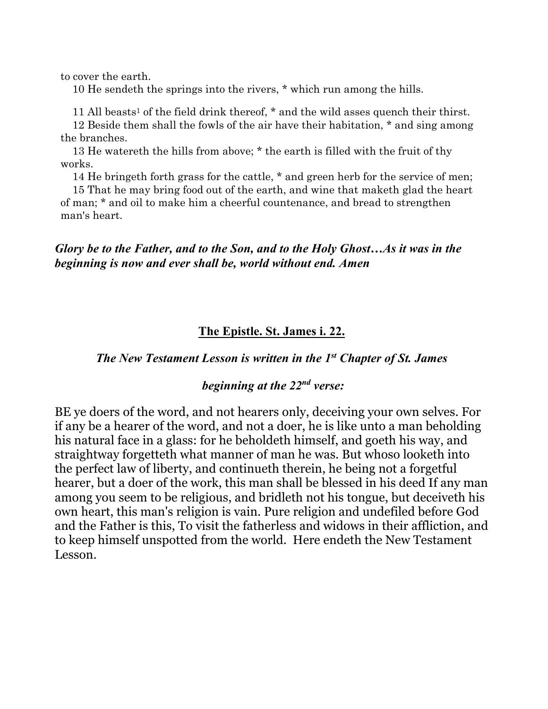to cover the earth.

10 He sendeth the springs into the rivers, \* which run among the hills.

11 All beasts<sup>1</sup> of the field drink thereof,  $*$  and the wild asses quench their thirst.

 12 Beside them shall the fowls of the air have their habitation, \* and sing among the branches.

 13 He watereth the hills from above; \* the earth is filled with the fruit of thy works.

14 He bringeth forth grass for the cattle, \* and green herb for the service of men;

 15 That he may bring food out of the earth, and wine that maketh glad the heart of man; \* and oil to make him a cheerful countenance, and bread to strengthen man's heart.

#### *Glory be to the Father, and to the Son, and to the Holy Ghost…As it was in the beginning is now and ever shall be, world without end. Amen*

## **The Epistle. St. James i. 22.**

## *The New Testament Lesson is written in the 1st Chapter of St. James*

# *beginning at the 22nd verse:*

BE ye doers of the word, and not hearers only, deceiving your own selves. For if any be a hearer of the word, and not a doer, he is like unto a man beholding his natural face in a glass: for he beholdeth himself, and goeth his way, and straightway forgetteth what manner of man he was. But whoso looketh into the perfect law of liberty, and continueth therein, he being not a forgetful hearer, but a doer of the work, this man shall be blessed in his deed If any man among you seem to be religious, and bridleth not his tongue, but deceiveth his own heart, this man's religion is vain. Pure religion and undefiled before God and the Father is this, To visit the fatherless and widows in their affliction, and to keep himself unspotted from the world. Here endeth the New Testament Lesson.